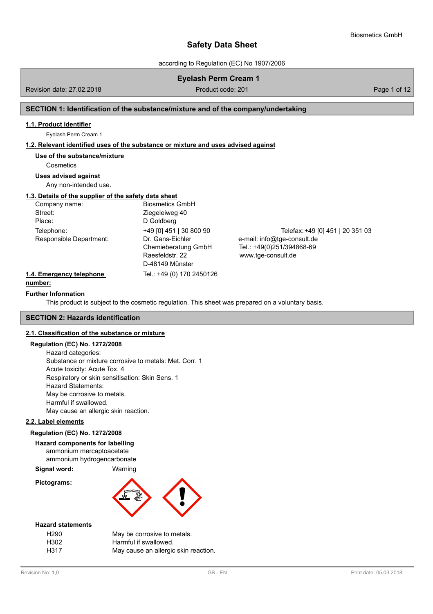according to Regulation (EC) No 1907/2006

**Eyelash Perm Cream 1** Product code: 201 **Product code: 201** 

## **SECTION 1: Identification of the substance/mixture and of the company/undertaking**

### **1.1. Product identifier**

Eyelash Perm Cream 1

### **1.2. Relevant identified uses of the substance or mixture and uses advised against**

### **Use of the substance/mixture**

**Cosmetics** 

### **Uses advised against**

Any non-intended use.

### **1.3. Details of the supplier of the safety data sheet**

| Company name:           | <b>Biosmetics GmbH</b>  |                                  |
|-------------------------|-------------------------|----------------------------------|
| Street:                 | Ziegeleiweg 40          |                                  |
| Place:                  | D Goldberg              |                                  |
| Telephone:              | +49 [0] 451   30 800 90 | Telefax: +49 [0] 451   20 351 03 |
| Responsible Department: | Dr. Gans-Eichler        | e-mail: info@tge-consult.de      |
|                         | Chemieberatung GmbH     | Tel.: +49(0)251/394868-69        |
|                         | Raesfeldstr. 22         | www.tge-consult.de               |
|                         | D-48149 Münster         |                                  |

### **1.4. Emergency telephone** Tel.: +49 (0) 170 2450126

## **number:**

#### **Further Information**

This product is subject to the cosmetic regulation. This sheet was prepared on a voluntary basis.

### **SECTION 2: Hazards identification**

#### **2.1. Classification of the substance or mixture**

#### **Regulation (EC) No. 1272/2008**

Hazard categories: Substance or mixture corrosive to metals: Met. Corr. 1 Acute toxicity: Acute Tox. 4 Respiratory or skin sensitisation: Skin Sens. 1 Hazard Statements: May be corrosive to metals. Harmful if swallowed. May cause an allergic skin reaction.

#### **2.2. Label elements**

#### **Regulation (EC) No. 1272/2008**

**Hazard components for labelling** ammonium mercaptoacetate

ammonium hydrogencarbonate

**Signal word:** Warning

**Pictograms:**



#### **Hazard statements**

| H290 |  |
|------|--|
| H302 |  |
| H317 |  |

May be corrosive to metals. Harmful if swallowed. May cause an allergic skin reaction.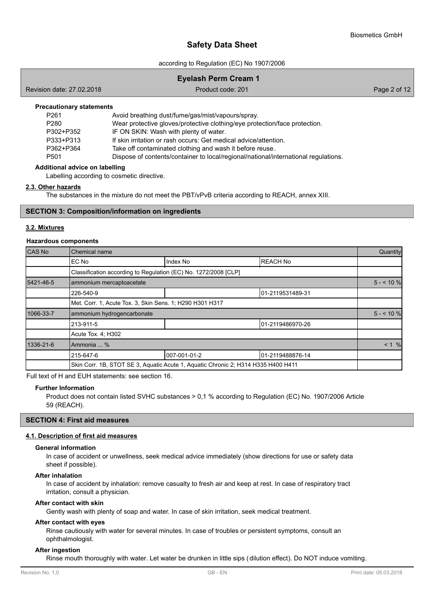according to Regulation (EC) No 1907/2006

| <b>Eyelash Perm Cream 1</b>                                                                    |                                                   |  |  |
|------------------------------------------------------------------------------------------------|---------------------------------------------------|--|--|
| Revision date: 27.02.2018<br>Product code: 201<br>Page 2 of 12                                 |                                                   |  |  |
| <b>Precautionary statements</b>                                                                |                                                   |  |  |
| P <sub>261</sub>                                                                               | Avoid breathing dust/fume/gas/mist/vapours/spray. |  |  |
| Wear protective gloves/protective clothing/eye protection/face protection.<br>P <sub>280</sub> |                                                   |  |  |
| IE ON SKIN: Woob with planty of water<br><b>DONOTDOEO</b>                                      |                                                   |  |  |

P302+P352 IF ON SKIN: Wash with plenty of water. P333+P313 If skin irritation or rash occurs: Get medical advice/attention. P362+P364 Take off contaminated clothing and wash it before reuse. P501 Dispose of contents/container to local/regional/national/international regulations.

#### **Additional advice on labelling**

Labelling according to cosmetic directive.

#### **2.3. Other hazards**

The substances in the mixture do not meet the PBT/vPvB criteria according to REACH, annex XIII.

#### **SECTION 3: Composition/information on ingredients**

#### **3.2. Mixtures**

#### **Hazardous components**

| CAS No    | Chemical name                                                                     |              |                   | Quantity   |
|-----------|-----------------------------------------------------------------------------------|--------------|-------------------|------------|
|           | EC No                                                                             | Index No     | <b>REACH No</b>   |            |
|           | Classification according to Regulation (EC) No. 1272/2008 [CLP]                   |              |                   |            |
| 5421-46-5 | ammonium mercaptoacetate                                                          |              |                   | $5 - 10%$  |
|           | 226-540-9                                                                         |              | 01-2119531489-31  |            |
|           | Met. Corr. 1, Acute Tox. 3, Skin Sens. 1; H290 H301 H317                          |              |                   |            |
| 1066-33-7 | ammonium hydrogencarbonate                                                        |              |                   | $5 - 10\%$ |
|           | 213-911-5                                                                         |              | 101-2119486970-26 |            |
|           | Acute Tox. 4: H302                                                                |              |                   |            |
| 1336-21-6 | Ammonia  %                                                                        |              |                   | $< 1$ %    |
|           | 215-647-6                                                                         | 007-001-01-2 | 101-2119488876-14 |            |
|           | Skin Corr. 1B, STOT SE 3, Aquatic Acute 1, Aquatic Chronic 2; H314 H335 H400 H411 |              |                   |            |

Full text of H and EUH statements: see section 16.

#### **Further Information**

Product does not contain listed SVHC substances > 0,1 % according to Regulation (EC) No. 1907/2006 Article 59 (REACH).

### **SECTION 4: First aid measures**

### **4.1. Description of first aid measures**

#### **General information**

In case of accident or unwellness, seek medical advice immediately (show directions for use or safety data sheet if possible).

#### **After inhalation**

In case of accident by inhalation: remove casualty to fresh air and keep at rest. In case of respiratory tract irritation, consult a physician.

#### **After contact with skin**

Gently wash with plenty of soap and water. In case of skin irritation, seek medical treatment.

#### **After contact with eyes**

Rinse cautiously with water for several minutes. In case of troubles or persistent symptoms, consult an ophthalmologist.

#### **After ingestion**

Rinse mouth thoroughly with water. Let water be drunken in little sips (dilution effect). Do NOT induce vomiting.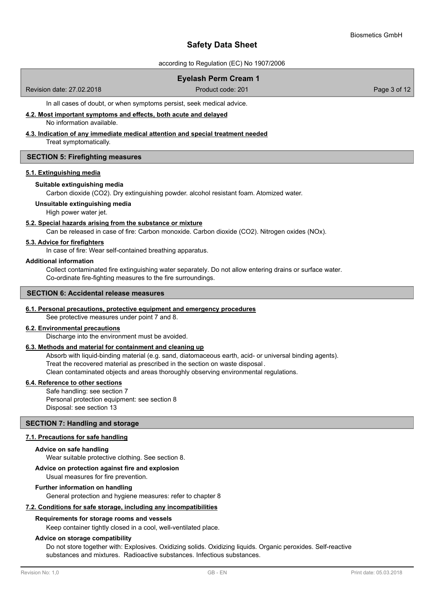according to Regulation (EC) No 1907/2006

### **Eyelash Perm Cream 1**

Revision date: 27.02.2018 **Product code: 201** Product code: 201 **Page 3 of 12** 

In all cases of doubt, or when symptoms persist, seek medical advice.

**4.2. Most important symptoms and effects, both acute and delayed**

No information available.

## **4.3. Indication of any immediate medical attention and special treatment needed**

Treat symptomatically.

### **SECTION 5: Firefighting measures**

### **5.1. Extinguishing media**

#### **Suitable extinguishing media**

Carbon dioxide (CO2). Dry extinguishing powder. alcohol resistant foam. Atomized water.

**Unsuitable extinguishing media**

High power water jet.

### **5.2. Special hazards arising from the substance or mixture**

Can be released in case of fire: Carbon monoxide. Carbon dioxide (CO2). Nitrogen oxides (NOx).

#### **5.3. Advice for firefighters**

In case of fire: Wear self-contained breathing apparatus.

#### **Additional information**

Collect contaminated fire extinguishing water separately. Do not allow entering drains or surface water. Co-ordinate fire-fighting measures to the fire surroundings.

#### **SECTION 6: Accidental release measures**

### **6.1. Personal precautions, protective equipment and emergency procedures**

See protective measures under point 7 and 8.

#### **6.2. Environmental precautions**

Discharge into the environment must be avoided.

### **6.3. Methods and material for containment and cleaning up**

Absorb with liquid-binding material (e.g. sand, diatomaceous earth, acid- or universal binding agents).

Treat the recovered material as prescribed in the section on waste disposal .

Clean contaminated objects and areas thoroughly observing environmental regulations.

### **6.4. Reference to other sections**

Safe handling: see section 7 Personal protection equipment: see section 8 Disposal: see section 13

### **SECTION 7: Handling and storage**

### **7.1. Precautions for safe handling**

### **Advice on safe handling**

Wear suitable protective clothing. See section 8.

## **Advice on protection against fire and explosion**

Usual measures for fire prevention.

### **Further information on handling**

General protection and hygiene measures: refer to chapter 8

### **7.2. Conditions for safe storage, including any incompatibilities**

#### **Requirements for storage rooms and vessels**

Keep container tightly closed in a cool, well-ventilated place.

#### **Advice on storage compatibility**

Do not store together with: Explosives. Oxidizing solids. Oxidizing liquids. Organic peroxides. Self-reactive substances and mixtures. Radioactive substances. Infectious substances.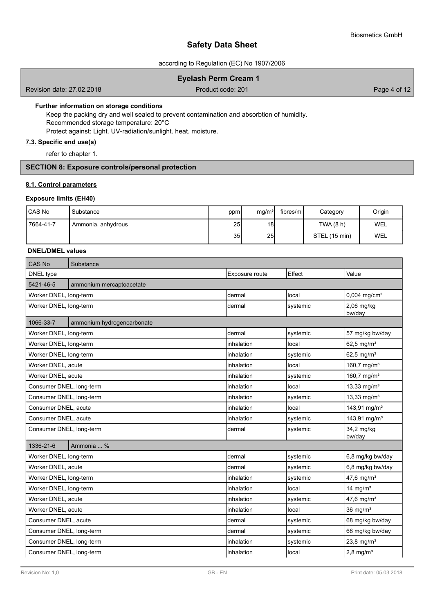according to Regulation (EC) No 1907/2006

### **Eyelash Perm Cream 1**

Revision date: 27.02.2018 **Product code: 201** Product code: 201 **Page 4 of 12** 

#### **Further information on storage conditions**

Keep the packing dry and well sealed to prevent contamination and absorbtion of humidity. Recommended storage temperature: 20°C Protect against: Light. UV-radiation/sunlight. heat. moisture.

### **7.3. Specific end use(s)**

refer to chapter 1.

### **SECTION 8: Exposure controls/personal protection**

### **8.1. Control parameters**

### **Exposure limits (EH40)**

| <b>CAS No</b> | Substance            | ppm | mg/m <sup>3</sup> | fibres/mll | Category      | Origin     |
|---------------|----------------------|-----|-------------------|------------|---------------|------------|
| 7664-41-7     | ' Ammonia, anhydrous | 25  | 18 <sup>l</sup>   |            | TWA(8 h)      | <b>WEL</b> |
|               |                      | 35  | 25                |            | STEL (15 min) | WEL        |

### **DNEL/DMEL values**

| CAS No                   | Substance                  |                |          |                            |
|--------------------------|----------------------------|----------------|----------|----------------------------|
| DNEL type                |                            | Exposure route | Effect   | Value                      |
| 5421-46-5                | ammonium mercaptoacetate   |                |          |                            |
| Worker DNEL, long-term   |                            | dermal         | local    | $0,004$ mg/cm <sup>2</sup> |
| Worker DNEL, long-term   |                            | dermal         | systemic | $2,06$ mg/kg<br>bw/day     |
| 1066-33-7                | ammonium hydrogencarbonate |                |          |                            |
| Worker DNEL, long-term   |                            | dermal         | systemic | 57 mg/kg bw/day            |
| Worker DNEL, long-term   |                            | inhalation     | local    | 62,5 mg/m <sup>3</sup>     |
| Worker DNEL, long-term   |                            | inhalation     | systemic | 62,5 mg/ $m^3$             |
| Worker DNEL, acute       |                            | inhalation     | local    | 160,7 mg/m <sup>3</sup>    |
| Worker DNEL, acute       |                            | inhalation     | systemic | 160,7 mg/m <sup>3</sup>    |
| Consumer DNEL, long-term |                            | inhalation     | local    | 13,33 mg/m <sup>3</sup>    |
| Consumer DNEL, long-term |                            | inhalation     | systemic | 13,33 mg/m <sup>3</sup>    |
| Consumer DNEL, acute     |                            | inhalation     | local    | 143,91 mg/m <sup>3</sup>   |
| Consumer DNEL, acute     |                            | inhalation     | systemic | 143,91 mg/m <sup>3</sup>   |
| Consumer DNEL, long-term |                            | dermal         | systemic | 34,2 mg/kg<br>bw/day       |
| 1336-21-6                | Ammonia  %                 |                |          |                            |
| Worker DNEL, long-term   |                            | dermal         | systemic | 6,8 mg/kg bw/day           |
| Worker DNEL, acute       |                            | dermal         | systemic | 6,8 mg/kg bw/day           |
| Worker DNEL, long-term   |                            | inhalation     | systemic | 47,6 mg/m <sup>3</sup>     |
| Worker DNEL, long-term   |                            | inhalation     | local    | 14 mg/ $m3$                |
| Worker DNEL, acute       |                            | inhalation     | systemic | 47,6 mg/m <sup>3</sup>     |
| Worker DNEL, acute       |                            | inhalation     | local    | $36$ mg/m <sup>3</sup>     |
| Consumer DNEL, acute     |                            | dermal         | systemic | 68 mg/kg bw/day            |
| Consumer DNEL, long-term |                            | dermal         | systemic | 68 mg/kg bw/day            |
| Consumer DNEL, long-term |                            | inhalation     | systemic | 23,8 mg/m <sup>3</sup>     |
| Consumer DNEL, long-term |                            | inhalation     | local    | $2,8$ mg/m <sup>3</sup>    |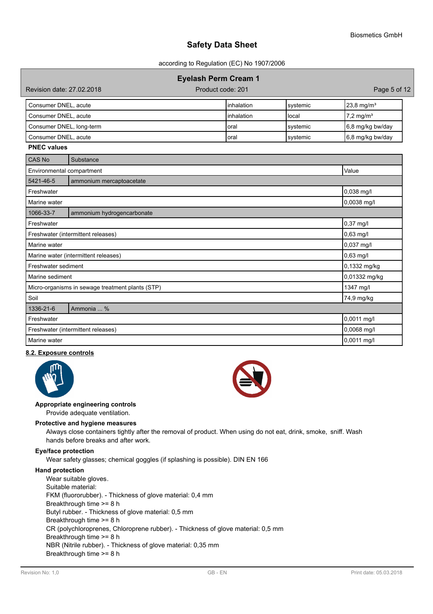according to Regulation (EC) No 1907/2006

## **Eyelash Perm Cream 1**

| Revision date: 27,02,2018 |  |  |  |  |
|---------------------------|--|--|--|--|
|---------------------------|--|--|--|--|

Product code: 201 **Product code: 201** 

| Consumer DNEL, acute     | Iinhalation | Isvstemic | $23.8 \text{ mg/m}^3$ |
|--------------------------|-------------|-----------|-----------------------|
| Consumer DNEL, acute     | Iinhalation | Hocal     | $7.2 \text{ mg/m}^3$  |
| Consumer DNEL, long-term | loral       | Isvstemic | 6,8 mg/kg bw/day      |
| Consumer DNEL, acute     | Ioral       | ∣systemic | 6,8 mg/kg bw/day      |

#### **PNEC values**

| CAS No                             | Substance                                        |               |
|------------------------------------|--------------------------------------------------|---------------|
| Environmental compartment          |                                                  | Value         |
| 5421-46-5                          | ammonium mercaptoacetate                         |               |
| Freshwater                         |                                                  | 0,038 mg/l    |
| Marine water                       |                                                  | 0,0038 mg/l   |
| 1066-33-7                          | ammonium hydrogencarbonate                       |               |
| Freshwater                         |                                                  | 0,37 mg/l     |
|                                    | Freshwater (intermittent releases)               | $0,63$ mg/l   |
| Marine water                       |                                                  | $0,037$ mg/l  |
|                                    | Marine water (intermittent releases)             | 0,63 mg/l     |
| Freshwater sediment                |                                                  | 0,1332 mg/kg  |
| Marine sediment                    |                                                  | 0,01332 mg/kg |
|                                    | Micro-organisms in sewage treatment plants (STP) | 1347 mg/l     |
| Soil                               |                                                  | 74,9 mg/kg    |
| 1336-21-6                          | Ammonia  %                                       |               |
| Freshwater                         |                                                  | 0,0011 mg/l   |
| Freshwater (intermittent releases) |                                                  | $0,0068$ mg/l |
| Marine water                       |                                                  | 0,0011 mg/l   |

#### **8.2. Exposure controls**



#### **Appropriate engineering controls**

Provide adequate ventilation.

#### **Protective and hygiene measures**

Always close containers tightly after the removal of product. When using do not eat, drink, smoke, sniff. Wash hands before breaks and after work.

#### **Eye/face protection**

Wear safety glasses; chemical goggles (if splashing is possible). DIN EN 166

#### **Hand protection**

Wear suitable gloves. Suitable material: FKM (fluororubber). - Thickness of glove material: 0,4 mm Breakthrough time >= 8 h Butyl rubber. - Thickness of glove material: 0,5 mm Breakthrough time >= 8 h CR (polychloroprenes, Chloroprene rubber). - Thickness of glove material: 0,5 mm Breakthrough time >= 8 h NBR (Nitrile rubber). - Thickness of glove material: 0,35 mm Breakthrough time >= 8 h

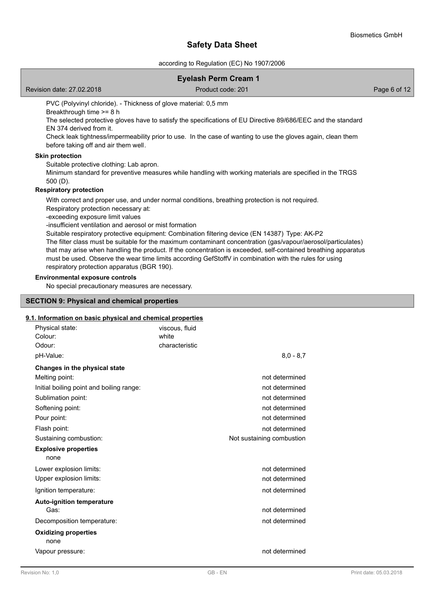according to Regulation (EC) No 1907/2006

|                                                                                                                                                                                    | <b>Eyelash Perm Cream 1</b>                                                                                                                                                                                                                                                                                                                                                                                                                                                                                                                    |              |
|------------------------------------------------------------------------------------------------------------------------------------------------------------------------------------|------------------------------------------------------------------------------------------------------------------------------------------------------------------------------------------------------------------------------------------------------------------------------------------------------------------------------------------------------------------------------------------------------------------------------------------------------------------------------------------------------------------------------------------------|--------------|
| Revision date: 27.02.2018                                                                                                                                                          | Product code: 201                                                                                                                                                                                                                                                                                                                                                                                                                                                                                                                              | Page 6 of 12 |
| PVC (Polyvinyl chloride). - Thickness of glove material: 0,5 mm<br>Breakthrough time >= 8 h<br>FN 374 derived from it.<br>before taking off and air them well.                     | The selected protective gloves have to satisfy the specifications of EU Directive 89/686/EEC and the standard<br>Check leak tightness/impermeability prior to use. In the case of wanting to use the gloves again, clean them                                                                                                                                                                                                                                                                                                                  |              |
| <b>Skin protection</b><br>Suitable protective clothing: Lab apron.<br>$500(D)$ .                                                                                                   | Minimum standard for preventive measures while handling with working materials are specified in the TRGS                                                                                                                                                                                                                                                                                                                                                                                                                                       |              |
| <b>Respiratory protection</b>                                                                                                                                                      |                                                                                                                                                                                                                                                                                                                                                                                                                                                                                                                                                |              |
| Respiratory protection necessary at:<br>-exceeding exposure limit values<br>-insufficient ventilation and aerosol or mist formation<br>respiratory protection apparatus (BGR 190). | With correct and proper use, and under normal conditions, breathing protection is not required.<br>Suitable respiratory protective equipment: Combination filtering device (EN 14387) Type: AK-P2<br>The filter class must be suitable for the maximum contaminant concentration (gas/vapour/aerosol/particulates)<br>that may arise when handling the product. If the concentration is exceeded, self-contained breathing apparatus<br>must be used. Observe the wear time limits according GefStoffV in combination with the rules for using |              |
| <b>Environmental exposure controls</b><br>No special precautionary measures are necessary.                                                                                         |                                                                                                                                                                                                                                                                                                                                                                                                                                                                                                                                                |              |
| <b>SECTION 9: Physical and chemical properties</b>                                                                                                                                 |                                                                                                                                                                                                                                                                                                                                                                                                                                                                                                                                                |              |

### **9.1. Information on basic physical and chemical properties**

| Physical state:<br>Colour:<br>Odour:     | viscous, fluid<br>white<br>characteristic |                           |
|------------------------------------------|-------------------------------------------|---------------------------|
| pH-Value:                                |                                           | $8.0 - 8.7$               |
| Changes in the physical state            |                                           |                           |
| Melting point:                           |                                           | not determined            |
| Initial boiling point and boiling range: |                                           | not determined            |
| Sublimation point:                       |                                           | not determined            |
| Softening point:                         |                                           | not determined            |
| Pour point:                              |                                           | not determined            |
| Flash point:                             |                                           | not determined            |
| Sustaining combustion:                   |                                           | Not sustaining combustion |
| <b>Explosive properties</b><br>none      |                                           |                           |
| Lower explosion limits:                  |                                           | not determined            |
| Upper explosion limits:                  |                                           | not determined            |
| Ignition temperature:                    |                                           | not determined            |
| <b>Auto-ignition temperature</b>         |                                           |                           |
| Gas:                                     |                                           | not determined            |
| Decomposition temperature:               |                                           | not determined            |
| <b>Oxidizing properties</b><br>none      |                                           |                           |
| Vapour pressure:                         |                                           | not determined            |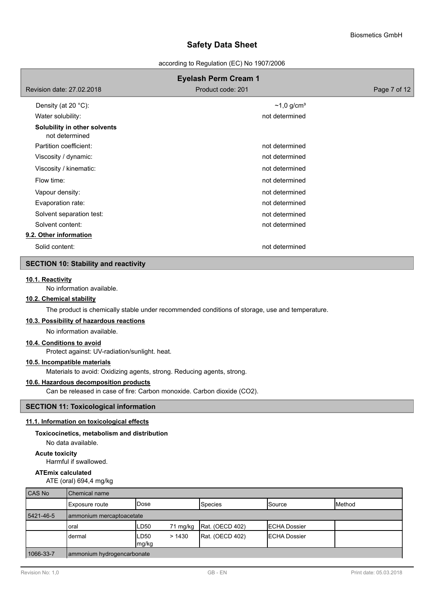according to Regulation (EC) No 1907/2006

|                                                | <b>Eyelash Perm Cream 1</b> |              |
|------------------------------------------------|-----------------------------|--------------|
| Revision date: 27,02,2018                      | Product code: 201           | Page 7 of 12 |
| Density (at 20 $°C$ ):                         | $~1,0$ g/cm <sup>3</sup>    |              |
| Water solubility:                              | not determined              |              |
| Solubility in other solvents<br>not determined |                             |              |
| Partition coefficient:                         | not determined              |              |
| Viscosity / dynamic:                           | not determined              |              |
| Viscosity / kinematic:                         | not determined              |              |
| Flow time:                                     | not determined              |              |
| Vapour density:                                | not determined              |              |
| Evaporation rate:                              | not determined              |              |
| Solvent separation test:                       | not determined              |              |
| Solvent content:                               | not determined              |              |
| 9.2. Other information                         |                             |              |
| Solid content:                                 | not determined              |              |

### **SECTION 10: Stability and reactivity**

### **10.1. Reactivity**

No information available.

### **10.2. Chemical stability**

The product is chemically stable under recommended conditions of storage, use and temperature.

#### **10.3. Possibility of hazardous reactions**

No information available.

### **10.4. Conditions to avoid**

Protect against: UV-radiation/sunlight. heat.

### **10.5. Incompatible materials**

Materials to avoid: Oxidizing agents, strong. Reducing agents, strong.

### **10.6. Hazardous decomposition products**

Can be released in case of fire: Carbon monoxide. Carbon dioxide (CO2).

# **SECTION 11: Toxicological information**

### **11.1. Information on toxicological effects**

### **Toxicocinetics, metabolism and distribution**

No data available.

**Acute toxicity**

Harmful if swallowed.

### **ATEmix calculated**

ATE (oral) 694,4 mg/kg

| CAS No    | Chemical name              |                |          |                 |                      |                 |
|-----------|----------------------------|----------------|----------|-----------------|----------------------|-----------------|
|           | Exposure route             | <b>IDose</b>   |          | <b>Species</b>  | <b>I</b> Source      | <b>I</b> Method |
| 5421-46-5 | ammonium mercaptoacetate   |                |          |                 |                      |                 |
|           | oral                       | LD50           | 71 mg/kg | Rat. (OECD 402) | <b>IECHA Dossier</b> |                 |
|           | dermal                     | ILD50<br>mg/kg | >1430    | Rat. (OECD 402) | <b>IECHA Dossier</b> |                 |
| 1066-33-7 | ammonium hydrogencarbonate |                |          |                 |                      |                 |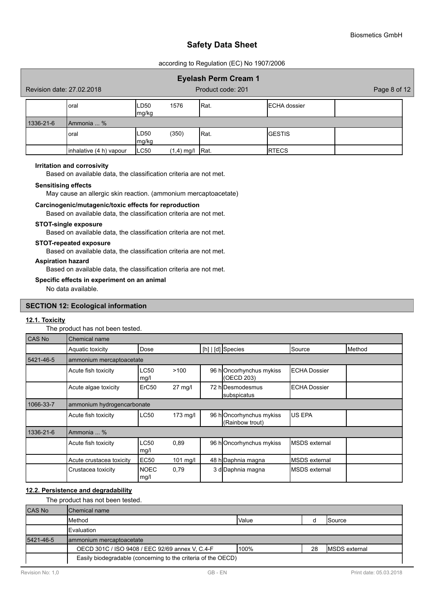according to Regulation (EC) No 1907/2006

|           | Revision date: 27.02.2018 |                |              | <b>Eyelash Perm Cream 1</b><br>Product code: 201 |                      | Page 8 of 12 |
|-----------|---------------------------|----------------|--------------|--------------------------------------------------|----------------------|--------------|
|           | Ioral                     | ILD50<br>mg/kg | 1576         | IRat.                                            | <b>IECHA</b> dossier |              |
| 1336-21-6 | <b>IAmmonia</b> %         |                |              |                                                  |                      |              |
|           | <b>l</b> oral             | ILD50<br>mg/kg | (350)        | IRat.                                            | IGESTIS              |              |
|           | inhalative (4 h) vapour   | LC50           | $(1,4)$ mg/l | IRat.                                            | <b>RTECS</b>         |              |

#### **Irritation and corrosivity**

Based on available data, the classification criteria are not met.

#### **Sensitising effects**

May cause an allergic skin reaction. (ammonium mercaptoacetate)

#### **Carcinogenic/mutagenic/toxic effects for reproduction**

Based on available data, the classification criteria are not met.

#### **STOT-single exposure**

Based on available data, the classification criteria are not met.

#### **STOT-repeated exposure**

Based on available data, the classification criteria are not met.

#### **Aspiration hazard**

Based on available data, the classification criteria are not met.

#### **Specific effects in experiment on an animal**

No data available.

#### **SECTION 12: Ecological information**

### **12.1. Toxicity**

The product has not been tested. CAS No Chemical name Aquatic toxicity **Dose** [h] [d] Species Source Method 5421-46-5 ammonium mercaptoacetate Acute fish toxicity |LC50 >100 | 96 h|Oncorhynchus mykiss |ECHA Dossier mg/l (OECD 203) Acute algae toxicity LErC50 27 mg/l L 72 h Desmodesmus LECHA Dossier subspicatus 1066-33-7 ammonium hydrogencarbonate Acute fish toxicity  $\vert$  LC50 173 mg/l  $\vert$  96 h Oncorhynchus mykiss US EPA (Rainbow trout) 1336-21-6 Ammonia ... % Acute fish toxicity LC50 0,89 96 h MSDS external Oncorhynchus mykiss mg/l Acute crustacea toxicity EC50 101 mg/l 48 h Daphnia magna MSDS external Crustacea toxicity | NOEC 0,79 mg/l 3 dDaphnia magna MSDS external

### **12.2. Persistence and degradability**

The product has not been tested.

| <b>CAS No</b> | Chemical name                                                 |       |    |                       |
|---------------|---------------------------------------------------------------|-------|----|-----------------------|
|               | <b>Method</b>                                                 | Value |    | <b>ISource</b>        |
|               | <b>IEvaluation</b>                                            |       |    |                       |
| 5421-46-5     | ammonium mercaptoacetate                                      |       |    |                       |
|               | OECD 301C / ISO 9408 / EEC 92/69 annex V, C.4-F               | 100%  | 28 | <b>IMSDS</b> external |
|               | Easily biodegradable (concerning to the criteria of the OECD) |       |    |                       |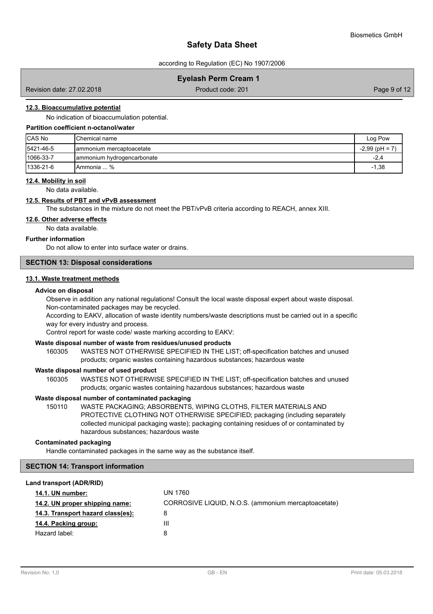according to Regulation (EC) No 1907/2006

### **Eyelash Perm Cream 1**

Revision date: 27.02.2018 **Product code: 201** Product code: 201 **Page 9 of 12** Page 9 of 12

### **12.3. Bioaccumulative potential**

No indication of bioaccumulation potential.

### **Partition coefficient n-octanol/water**

| <b>CAS No</b>     | IChemical name              | Log Pow       |
|-------------------|-----------------------------|---------------|
| 5421-46-5         | Iammonium mercaptoacetate   | $-2,99$ (pH = |
| $ 1066 - 33 - 7 $ | Jammonium hydrogencarbonate | $-2,4$        |
| $1336 - 21 - 6$   | IAmmonia  %                 | $-1,38$       |

### **12.4. Mobility in soil**

No data available.

#### **12.5. Results of PBT and vPvB assessment**

The substances in the mixture do not meet the PBT/vPvB criteria according to REACH, annex XIII.

### **12.6. Other adverse effects**

No data available.

### **Further information**

Do not allow to enter into surface water or drains.

### **SECTION 13: Disposal considerations**

### **13.1. Waste treatment methods**

#### **Advice on disposal**

Observe in addition any national regulations! Consult the local waste disposal expert about waste disposal. Non-contaminated packages may be recycled.

According to EAKV, allocation of waste identity numbers/waste descriptions must be carried out in a specific way for every industry and process.

Control report for waste code/ waste marking according to EAKV:

### **Waste disposal number of waste from residues/unused products**

160305 WASTES NOT OTHERWISE SPECIFIED IN THE LIST; off-specification batches and unused products; organic wastes containing hazardous substances; hazardous waste

#### **Waste disposal number of used product**

WASTES NOT OTHERWISE SPECIFIED IN THE LIST; off-specification batches and unused products; organic wastes containing hazardous substances; hazardous waste 160305

### **Waste disposal number of contaminated packaging**

WASTE PACKAGING; ABSORBENTS, WIPING CLOTHS, FILTER MATERIALS AND PROTECTIVE CLOTHING NOT OTHERWISE SPECIFIED; packaging (including separately collected municipal packaging waste); packaging containing residues of or contaminated by hazardous substances; hazardous waste 150110

### **Contaminated packaging**

Handle contaminated packages in the same way as the substance itself.

### **SECTION 14: Transport information**

#### **Land transport (ADR/RID)**

| <b>14.1. UN number:</b>           | UN 1760                                             |
|-----------------------------------|-----------------------------------------------------|
| 14.2. UN proper shipping name:    | CORROSIVE LIQUID, N.O.S. (ammonium mercaptoacetate) |
| 14.3. Transport hazard class(es): | 8                                                   |
| 14.4. Packing group:              | Ш                                                   |
| Hazard label:                     | 8                                                   |
|                                   |                                                     |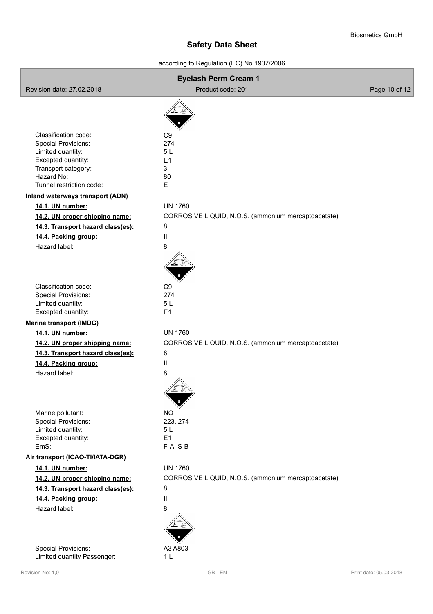according to Regulation (EC) No 1907/2006

|                                                 | <b>Eyelash Perm Cream 1</b>                         |               |
|-------------------------------------------------|-----------------------------------------------------|---------------|
| Revision date: 27.02.2018                       | Product code: 201                                   | Page 10 of 12 |
|                                                 |                                                     |               |
|                                                 |                                                     |               |
|                                                 |                                                     |               |
| Classification code:                            | C <sub>9</sub>                                      |               |
| <b>Special Provisions:</b><br>Limited quantity: | 274<br>5L                                           |               |
| Excepted quantity:                              | E1                                                  |               |
| Transport category:                             | 3                                                   |               |
| Hazard No:                                      | 80                                                  |               |
| Tunnel restriction code:                        | E                                                   |               |
| Inland waterways transport (ADN)                |                                                     |               |
| 14.1. UN number:                                | <b>UN 1760</b>                                      |               |
| 14.2. UN proper shipping name:                  | CORROSIVE LIQUID, N.O.S. (ammonium mercaptoacetate) |               |
| 14.3. Transport hazard class(es):               | 8                                                   |               |
| 14.4. Packing group:                            | $\mathbf{III}$                                      |               |
| Hazard label:                                   | 8                                                   |               |
|                                                 |                                                     |               |
|                                                 |                                                     |               |
|                                                 |                                                     |               |
| Classification code:                            | C <sub>9</sub>                                      |               |
| Special Provisions:                             | 274                                                 |               |
| Limited quantity:                               | 5L                                                  |               |
| Excepted quantity:                              | E <sub>1</sub>                                      |               |
| <b>Marine transport (IMDG)</b>                  |                                                     |               |
| 14.1. UN number:                                | <b>UN 1760</b>                                      |               |
| 14.2. UN proper shipping name:                  | CORROSIVE LIQUID, N.O.S. (ammonium mercaptoacetate) |               |
| 14.3. Transport hazard class(es):               | 8                                                   |               |
| 14.4. Packing group:                            | $\mathbf{III}$                                      |               |
| Hazard label:                                   | 8                                                   |               |
|                                                 |                                                     |               |
|                                                 |                                                     |               |
|                                                 |                                                     |               |
| Marine pollutant:                               | <b>NO</b>                                           |               |
| <b>Special Provisions:</b>                      | 223, 274                                            |               |
| Limited quantity:                               | 5L                                                  |               |
| Excepted quantity:                              | E1                                                  |               |
| EmS:                                            | F-A, S-B                                            |               |
| Air transport (ICAO-TI/IATA-DGR)                |                                                     |               |
| 14.1. UN number:                                | <b>UN 1760</b>                                      |               |
| 14.2. UN proper shipping name:                  | CORROSIVE LIQUID, N.O.S. (ammonium mercaptoacetate) |               |
| 14.3. Transport hazard class(es):               | 8                                                   |               |
| 14.4. Packing group:                            | $\mathbf{III}$                                      |               |
| Hazard label:                                   | 8                                                   |               |
|                                                 |                                                     |               |
|                                                 |                                                     |               |
|                                                 |                                                     |               |
| <b>Special Provisions:</b>                      | A3 A803                                             |               |
| Limited quantity Passenger:                     | 1 <sub>L</sub>                                      |               |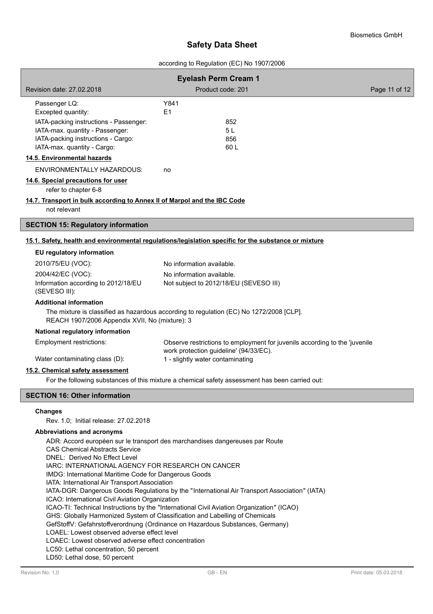#### according to Regulation (EC) No 1907/2006

| Revision date: 27.02.2018                                                                | <b>Eyelash Perm Cream 1</b><br>Product code: 201                                                                     | Page 11 of 12 |
|------------------------------------------------------------------------------------------|----------------------------------------------------------------------------------------------------------------------|---------------|
| Passenger LQ:                                                                            | Y841                                                                                                                 |               |
| Excepted quantity:                                                                       | E <sub>1</sub>                                                                                                       |               |
| IATA-packing instructions - Passenger:                                                   | 852                                                                                                                  |               |
| IATA-max. quantity - Passenger:                                                          | 5L                                                                                                                   |               |
| IATA-packing instructions - Cargo:<br>IATA-max. quantity - Cargo:                        | 856<br>60 L                                                                                                          |               |
| 14.5. Environmental hazards                                                              |                                                                                                                      |               |
| <b>ENVIRONMENTALLY HAZARDOUS:</b>                                                        | no                                                                                                                   |               |
| 14.6. Special precautions for user<br>refer to chapter 6-8                               |                                                                                                                      |               |
| 14.7. Transport in bulk according to Annex II of Marpol and the IBC Code<br>not relevant |                                                                                                                      |               |
| <b>SECTION 15: Regulatory information</b>                                                |                                                                                                                      |               |
|                                                                                          | 15.1. Safety, health and environmental regulations/legislation specific for the substance or mixture                 |               |
| EU regulatory information                                                                |                                                                                                                      |               |
| 2010/75/EU (VOC):                                                                        | No information available.                                                                                            |               |
| 2004/42/EC (VOC):                                                                        | No information available.                                                                                            |               |
| Information according to 2012/18/EU<br>(SEVESO III):                                     | Not subject to 2012/18/EU (SEVESO III)                                                                               |               |
| <b>Additional information</b>                                                            |                                                                                                                      |               |
| REACH 1907/2006 Appendix XVII, No (mixture): 3                                           | The mixture is classified as hazardous according to regulation (EC) No 1272/2008 [CLP].                              |               |
| National regulatory information                                                          |                                                                                                                      |               |
| Employment restrictions:                                                                 | Observe restrictions to employment for juvenils according to the 'juvenile<br>work protection guideline' (94/33/EC). |               |
| Water contaminating class (D):                                                           | 1 - slightly water contaminating                                                                                     |               |
| 15.2. Chemical safety assessment                                                         |                                                                                                                      |               |
|                                                                                          | For the following substances of this mixture a chemical safety assessment has been carried out:                      |               |
| <b>SECTION 16: Other information</b>                                                     |                                                                                                                      |               |
| <b>Changes</b>                                                                           |                                                                                                                      |               |
| Rev. 1.0; Initial release: 27.02.2018                                                    |                                                                                                                      |               |
| Abbreviations and acronyms                                                               |                                                                                                                      |               |
| ADR: Accord européen sur le transport des marchandises dangereuses par Route             |                                                                                                                      |               |
| <b>CAS Chemical Abstracts Service</b><br>DNEL: Derived No Effect Level                   |                                                                                                                      |               |

IARC: INTERNATIONAL AGENCY FOR RESEARCH ON CANCER

IMDG: International Maritime Code for Dangerous Goods

IATA: International Air Transport Association

IATA-DGR: Dangerous Goods Regulations by the "International Air Transport Association" (IATA)

ICAO: International Civil Aviation Organization

ICAO-TI: Technical Instructions by the "International Civil Aviation Organization" (ICAO)

GHS: Globally Harmonized System of Classification and Labelling of Chemicals

GefStoffV: Gefahrstoffverordnung (Ordinance on Hazardous Substances, Germany)

LOAEL: Lowest observed adverse effect level

LOAEC: Lowest observed adverse effect concentration

LC50: Lethal concentration, 50 percent

LD50: Lethal dose, 50 percent